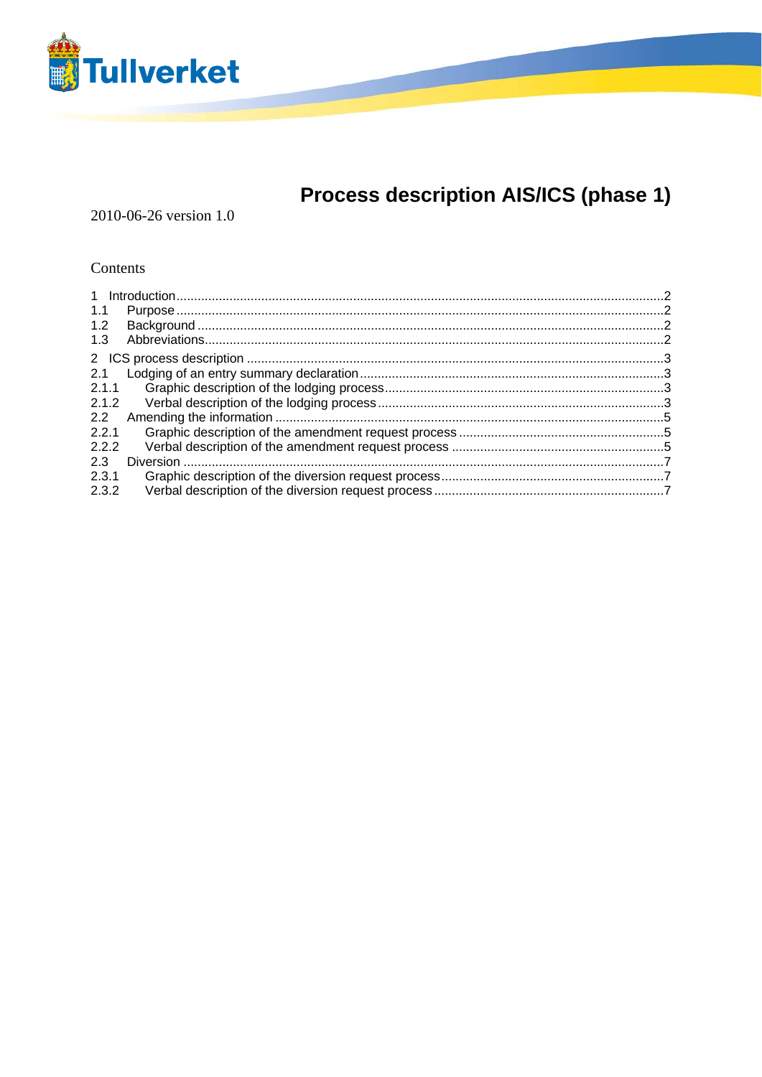

# Process description AIS/ICS (phase 1)

2010-06-26 version 1.0

#### Contents

| 1.1           |  |
|---------------|--|
| 1.2           |  |
| 1.3           |  |
|               |  |
| 2.1           |  |
| 2.1.1         |  |
| 2.1.2         |  |
| $2.2^{\circ}$ |  |
| 2.2.1         |  |
| 2.2.2         |  |
| 2.3           |  |
| 2.3.1         |  |
| 2.3.2         |  |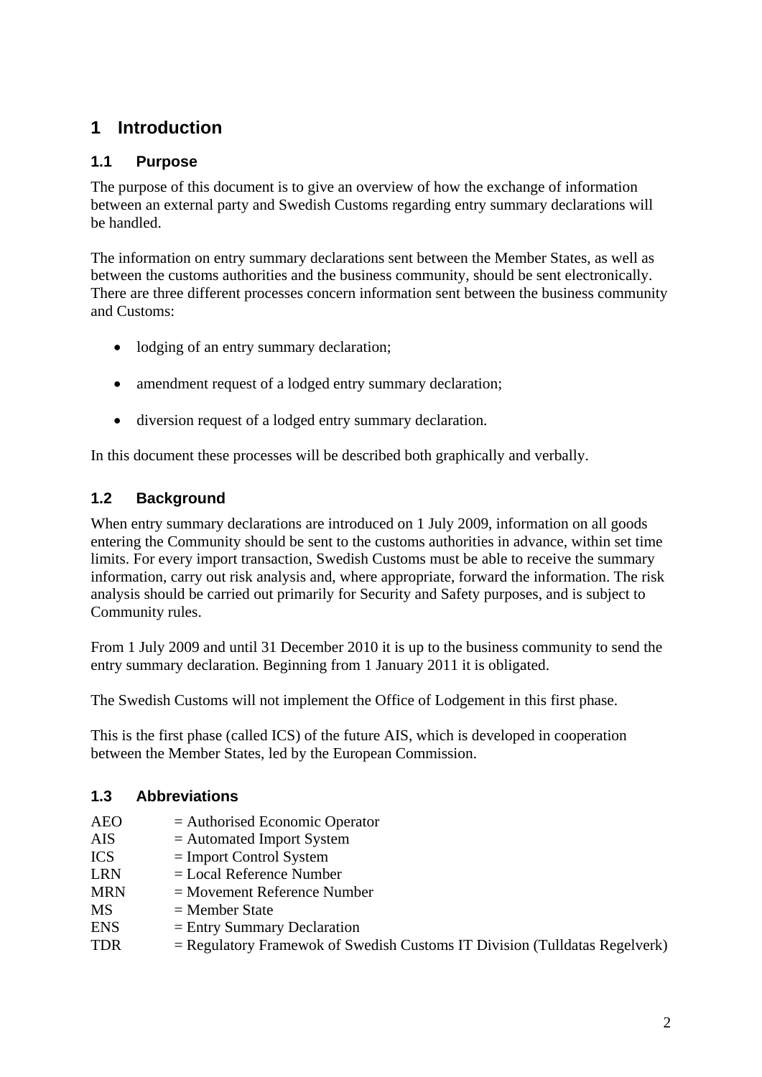## <span id="page-1-0"></span>**1 Introduction**

#### **1.1 Purpose**

The purpose of this document is to give an overview of how the exchange of information between an external party and Swedish Customs regarding entry summary declarations will be handled.

The information on entry summary declarations sent between the Member States, as well as between the customs authorities and the business community, should be sent electronically. There are three different processes concern information sent between the business community and Customs:

- lodging of an entry summary declaration;
- amendment request of a lodged entry summary declaration;
- diversion request of a lodged entry summary declaration.

In this document these processes will be described both graphically and verbally.

### **1.2 Background**

When entry summary declarations are introduced on 1 July 2009, information on all goods entering the Community should be sent to the customs authorities in advance, within set time limits. For every import transaction, Swedish Customs must be able to receive the summary information, carry out risk analysis and, where appropriate, forward the information. The risk analysis should be carried out primarily for Security and Safety purposes, and is subject to Community rules.

From 1 July 2009 and until 31 December 2010 it is up to the business community to send the entry summary declaration. Beginning from 1 January 2011 it is obligated.

The Swedish Customs will not implement the Office of Lodgement in this first phase.

This is the first phase (called ICS) of the future AIS, which is developed in cooperation between the Member States, led by the European Commission.

#### **1.3 Abbreviations**

| AEO | $=$ Authorised Economic Operator |
|-----|----------------------------------|
|-----|----------------------------------|

- $AIS = Automated Import System$
- ICS = Import Control System
- $LRN = Local Reference Number$
- MRN = Movement Reference Number
- $MS = Member State$
- ENS = Entry Summary Declaration
- $TDR$  = Regulatory Framewok of Swedish Customs IT Division (Tulldatas Regelverk)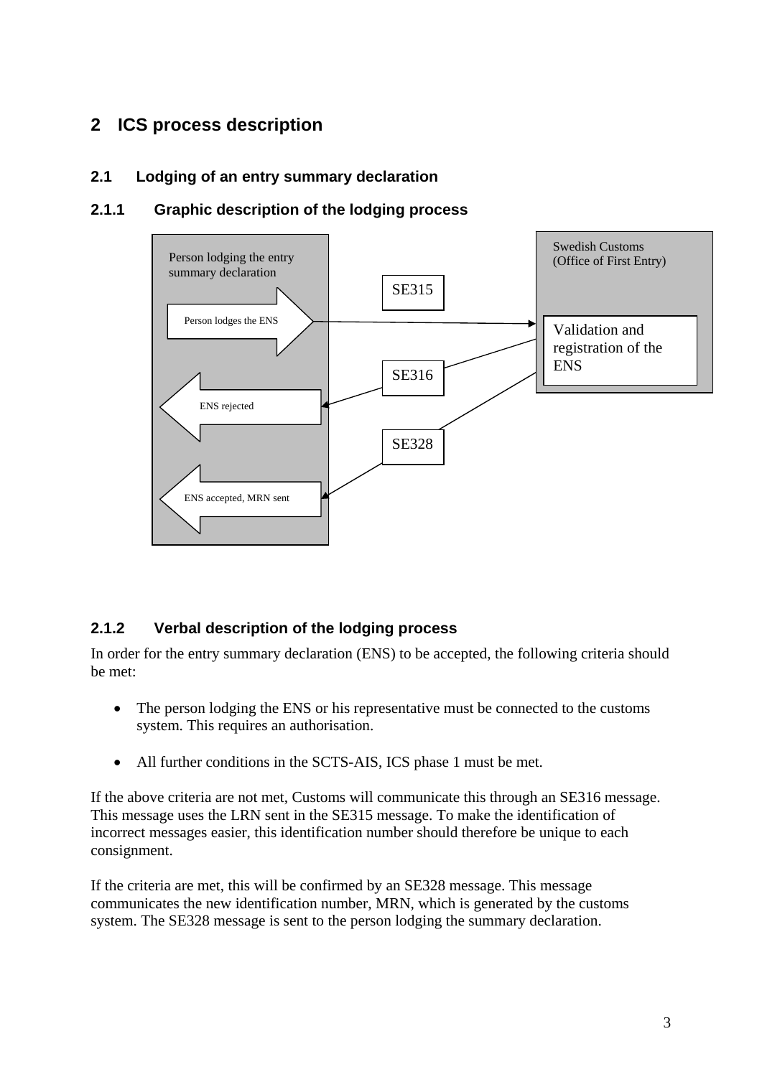## <span id="page-2-0"></span>**2 ICS process description**

#### **2.1 Lodging of an entry summary declaration**

#### **2.1.1 Graphic description of the lodging process**



#### **2.1.2 Verbal description of the lodging process**

In order for the entry summary declaration (ENS) to be accepted, the following criteria should be met:

- The person lodging the ENS or his representative must be connected to the customs system. This requires an authorisation.
- All further conditions in the SCTS-AIS, ICS phase 1 must be met.

If the above criteria are not met, Customs will communicate this through an SE316 message. This message uses the LRN sent in the SE315 message. To make the identification of incorrect messages easier, this identification number should therefore be unique to each consignment.

If the criteria are met, this will be confirmed by an SE328 message. This message communicates the new identification number, MRN, which is generated by the customs system. The SE328 message is sent to the person lodging the summary declaration.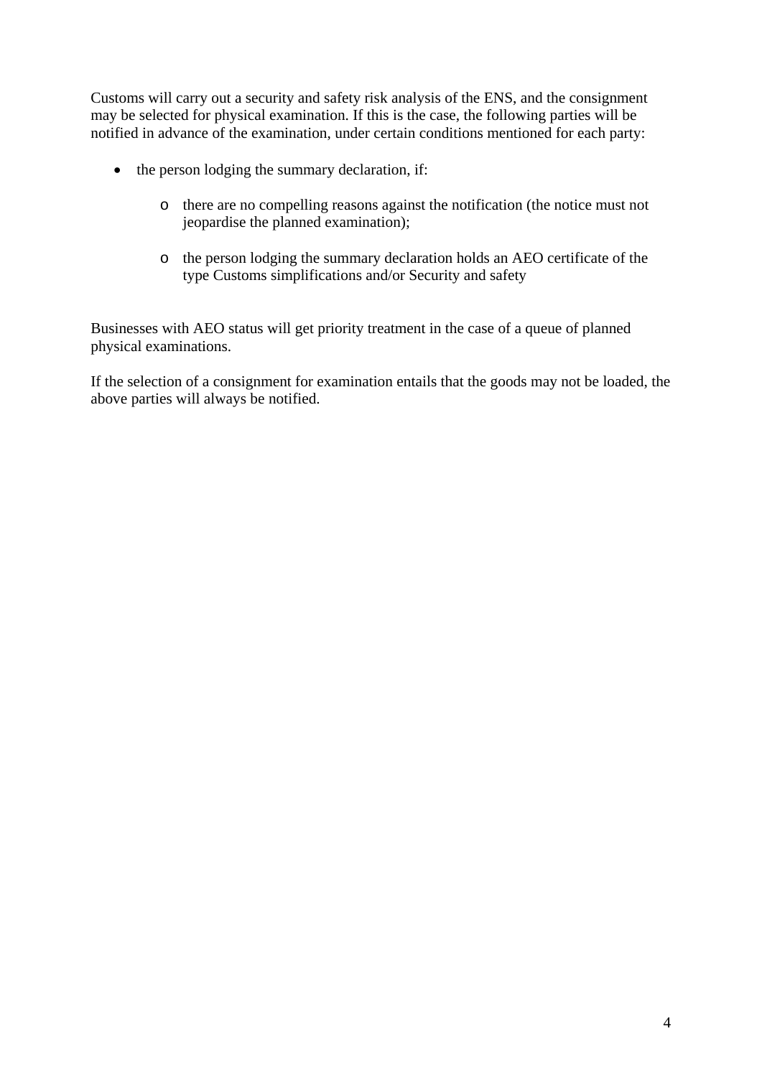Customs will carry out a security and safety risk analysis of the ENS, and the consignment may be selected for physical examination. If this is the case, the following parties will be notified in advance of the examination, under certain conditions mentioned for each party:

- the person lodging the summary declaration, if:
	- o there are no compelling reasons against the notification (the notice must not jeopardise the planned examination);
	- o the person lodging the summary declaration holds an AEO certificate of the type Customs simplifications and/or Security and safety

Businesses with AEO status will get priority treatment in the case of a queue of planned physical examinations.

If the selection of a consignment for examination entails that the goods may not be loaded, the above parties will always be notified.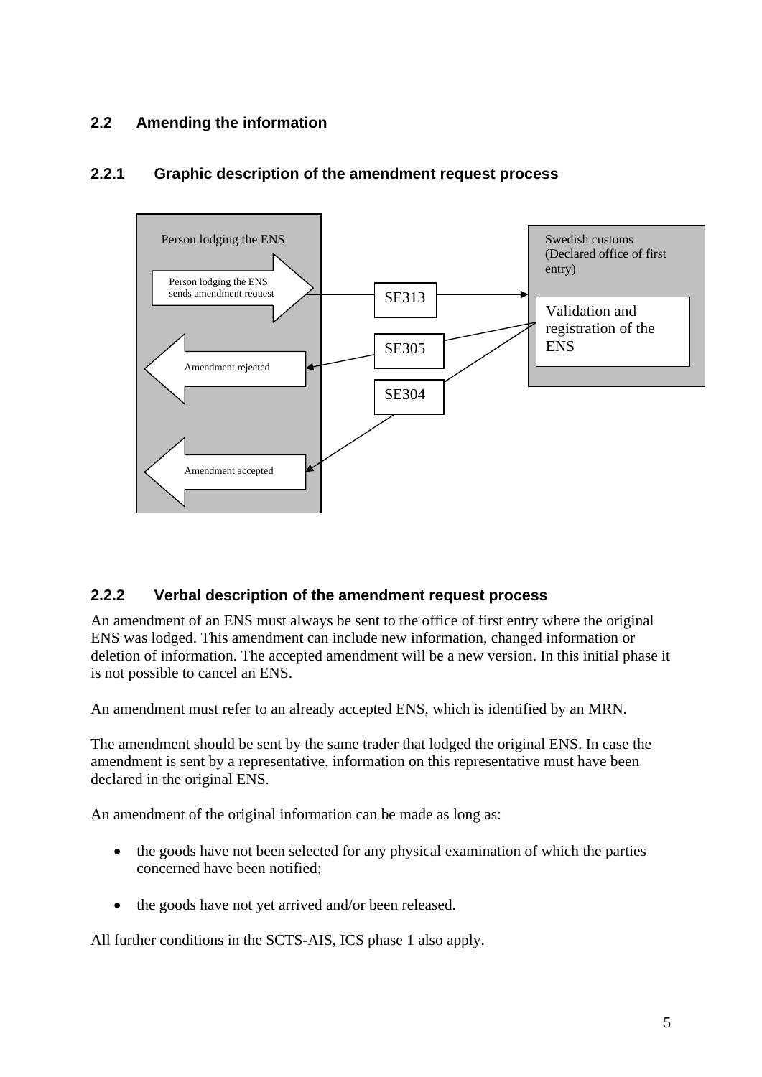### <span id="page-4-0"></span>**2.2 Amending the information**



#### **2.2.1 Graphic description of the amendment request process**

#### **2.2.2 Verbal description of the amendment request process**

An amendment of an ENS must always be sent to the office of first entry where the original ENS was lodged. This amendment can include new information, changed information or deletion of information. The accepted amendment will be a new version. In this initial phase it is not possible to cancel an ENS.

An amendment must refer to an already accepted ENS, which is identified by an MRN.

The amendment should be sent by the same trader that lodged the original ENS. In case the amendment is sent by a representative, information on this representative must have been declared in the original ENS.

An amendment of the original information can be made as long as:

- the goods have not been selected for any physical examination of which the parties concerned have been notified;
- the goods have not yet arrived and/or been released.

All further conditions in the SCTS-AIS, ICS phase 1 also apply.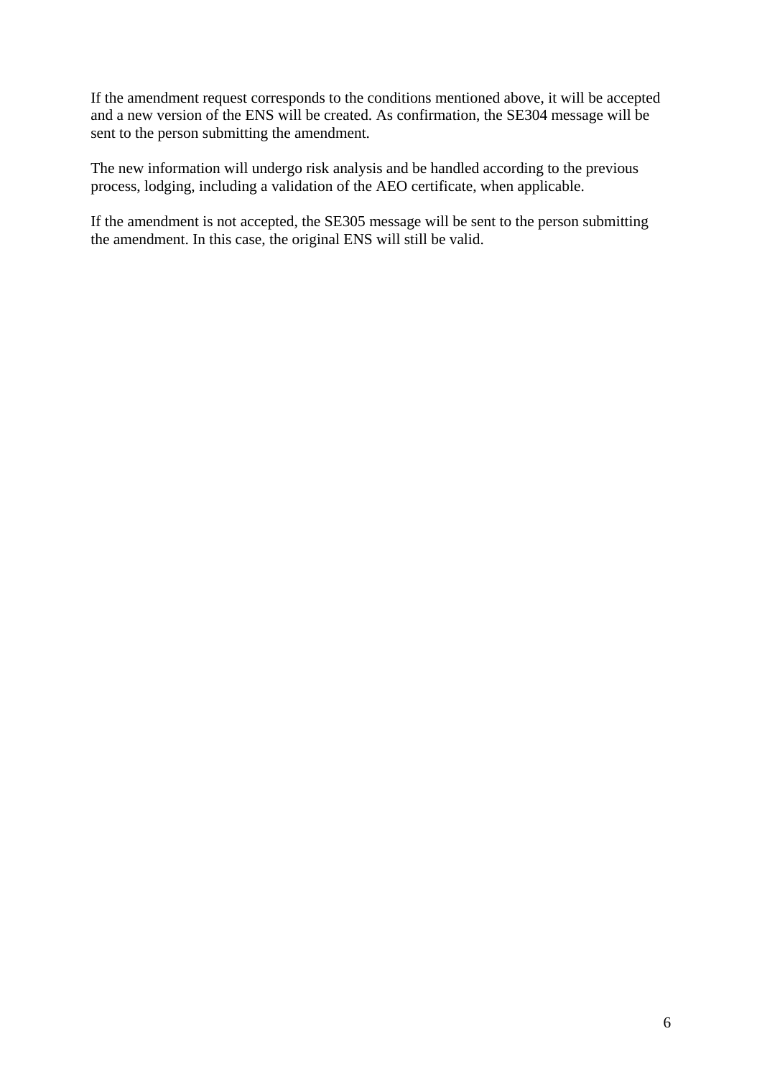If the amendment request corresponds to the conditions mentioned above, it will be accepted and a new version of the ENS will be created. As confirmation, the SE304 message will be sent to the person submitting the amendment.

The new information will undergo risk analysis and be handled according to the previous process, lodging, including a validation of the AEO certificate, when applicable.

If the amendment is not accepted, the SE305 message will be sent to the person submitting the amendment. In this case, the original ENS will still be valid.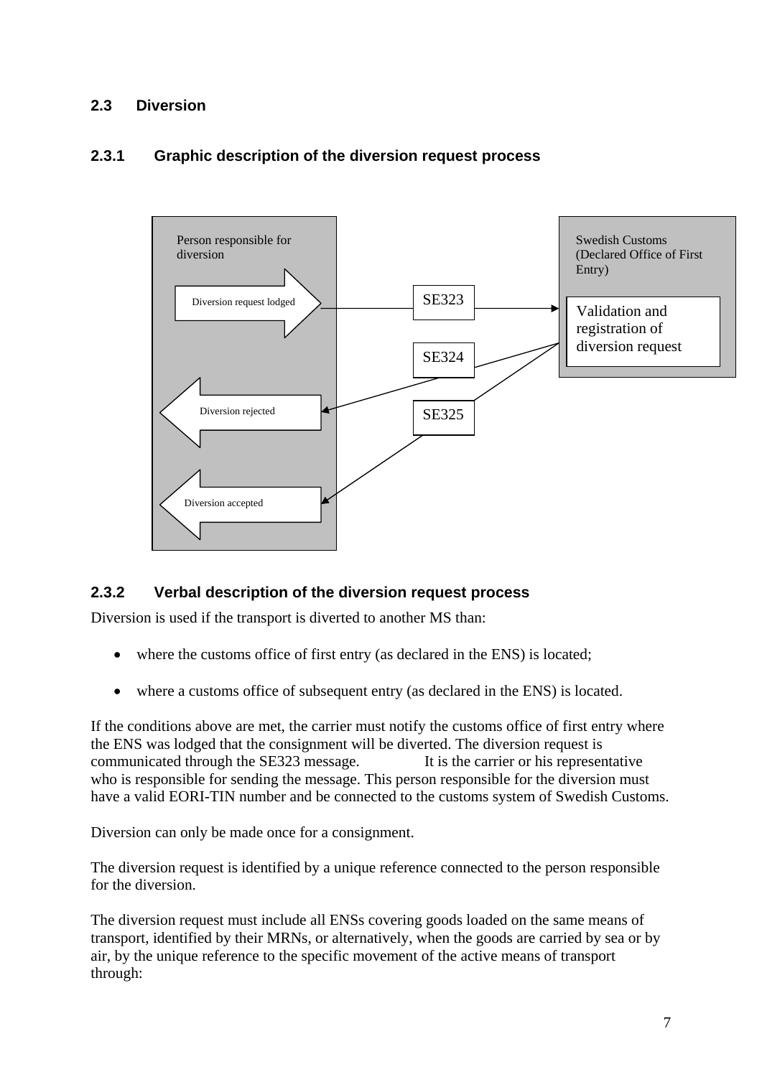#### <span id="page-6-0"></span>**2.3 Diversion**

#### **2.3.1 Graphic description of the diversion request process**



#### **2.3.2 Verbal description of the diversion request process**

Diversion is used if the transport is diverted to another MS than:

- where the customs office of first entry (as declared in the ENS) is located;
- where a customs office of subsequent entry (as declared in the ENS) is located.

If the conditions above are met, the carrier must notify the customs office of first entry where the ENS was lodged that the consignment will be diverted. The diversion request is communicated through the SE323 message. It is the carrier or his representative who is responsible for sending the message. This person responsible for the diversion must have a valid EORI-TIN number and be connected to the customs system of Swedish Customs.

Diversion can only be made once for a consignment.

The diversion request is identified by a unique reference connected to the person responsible for the diversion.

The diversion request must include all ENSs covering goods loaded on the same means of transport, identified by their MRNs, or alternatively, when the goods are carried by sea or by air, by the unique reference to the specific movement of the active means of transport through: